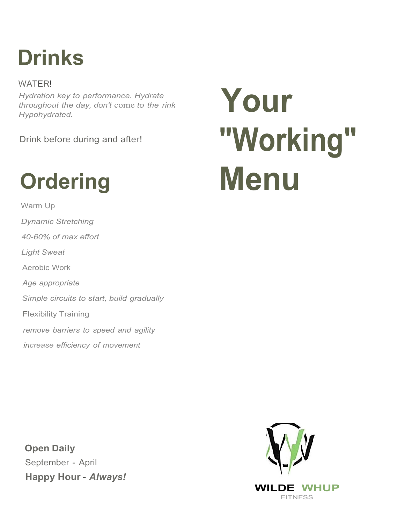## **Drinks**

WATER! *Hydration key to performance. Hydrate throughout the day, don't* come *to the rink Hypohydrated.*

Drink before during and after!

## **Ordering**

Warm Up *Dynamic Stretching 40-60% of max effort Light Sweat* Aerobic Work *Age appropriate Simple circuits to start, build gradually* Flexibility Training *remove barriers to speed and agility increase efficiency of movement*

**Open Daily** September - April **Happy Hour -** *Always!*

# **Your "Working" Menu**

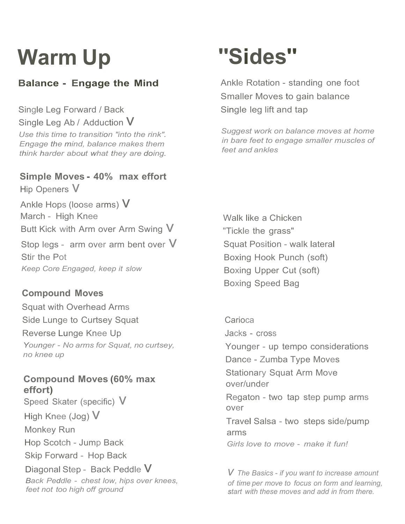## **Warm Up ''Sides''**

#### **Balance - Engage the Mind**

Single Leg Forward / Back Single Leg Ab / Adduction  $V$ *Use this time to transition "into the rink". Engage the mind, balance makes them think harder about what they are doing.*

#### **Simple Moves - 40% max effort** Hip Openers V

Ankle Hops (loose arms)  $V$ March - High Knee Butt Kick with Arm over Arm Swing  $V$ Stop legs - arm over arm bent over  $V$ Stir the Pot *Keep Core Engaged, keep it slow*

#### **Compound Moves**

Squat with Overhead Arms Side Lunge to Curtsey Squat Reverse Lunge Knee Up *Younger* - *No arms for Squat, no curtsey, no knee up*

#### **Compound Moves (60% max effort)**

Speed Skater (specific)  $V$ High Knee (Jog)  $V$ Monkey Run Hop Scotch - Jump Back Skip Forward - Hop Back Diagonal Step - Back Peddle  $V$ *Back Peddle* - *chest low, hips over knees, feet not too high off ground*

Ankle Rotation - standing one foot Smaller Moves to gain balance Single leg lift and tap

*Suggest work on balance moves at home in bare feet to engage smaller muscles of feet and ankles*

Walk like a Chicken "Tickle the grass" Squat Position - walk lateral Boxing Hook Punch (soft) Boxing Upper Cut (soft) Boxing Speed Bag

**Carioca** Jacks - cross Younger - up tempo considerations Dance - Zumba Type Moves Stationary Squat Arm Move over/under Regaton - two tap step pump arms over Travel Salsa - two steps side/pump arms *Girls love to move* - *make it fun!*

*v The Basics* - *if you want to increase amount of time per move to focus on form and learning, start with these moves and add in from there.*